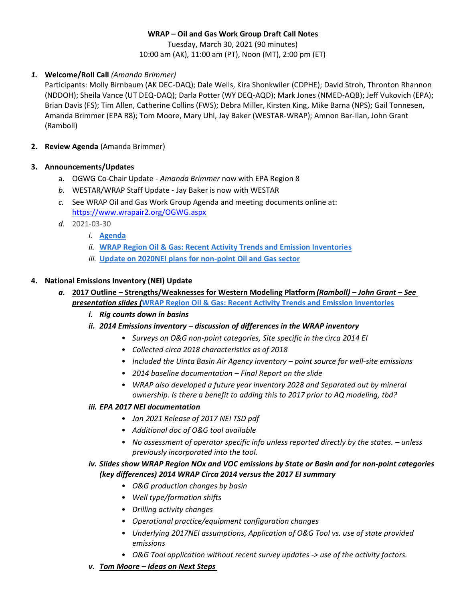Tuesday, March 30, 2021 (90 minutes) 10:00 am (AK), 11:00 am (PT), Noon (MT), 2:00 pm (ET)

# *1.* **Welcome/Roll Call** *(Amanda Brimmer)*

Participants: Molly Birnbaum (AK DEC-DAQ); Dale Wells, Kira Shonkwiler (CDPHE); David Stroh, Thronton Rhannon (NDDOH); Sheila Vance (UT DEQ-DAQ); Darla Potter (WY DEQ-AQD); Mark Jones (NMED-AQB); Jeff Vukovich (EPA); Brian Davis (FS); Tim Allen, Catherine Collins (FWS); Debra Miller, Kirsten King, Mike Barna (NPS); Gail Tonnesen, Amanda Brimmer (EPA R8); Tom Moore, Mary Uhl, Jay Baker (WESTAR-WRAP); Amnon Bar-Ilan, John Grant (Ramboll)

**2. Review Agenda** (Amanda Brimmer)

# **3. Announcements/Updates**

- a. OGWG Co-Chair Update *Amanda Brimmer* now with EPA Region 8
- *b.* WESTAR/WRAP Staff Update Jay Baker is now with WESTAR
- *c.* See WRAP Oil and Gas Work Group Agenda and meeting documents online at: <https://www.wrapair2.org/OGWG.aspx>
- *d.* 2021-03-30
	- *i.* **[Agenda](https://www.wrapair2.org/pdf/OGWG%20Agenda_2021_March-web.pdf)**
	- *ii.* **[WRAP Region Oil & Gas: Recent Activity Trends and Emission Inventories](https://www.wrapair2.org/pdf/WRAP_OG_EI_2017v2014_30Mar2021.pdf)**
	- *iii.* **[Update on 2020NEI plans for non-point Oil and Gas sector](https://www.wrapair2.org/pdf/NEI_update_WRAP_OGWG_21Mar30.pdf)**

# **4. National Emissions Inventory (NEI) Update**

- *a.* **2017 Outline – Strengths/Weaknesses for Western Modeling Platform** *(Ramboll) – John Grant – See presentation slides (***[WRAP Region Oil & Gas: Recent Activity Trends and Emission Inventories](https://www.wrapair2.org/pdf/WRAP_OG_EI_2017v2014_30Mar2021.pdf)**
	- *i. Rig counts down in basins*
	- *ii. 2014 Emissions inventory – discussion of differences in the WRAP inventory*
		- *Surveys on O&G non-point categories, Site specific in the circa 2014 EI*
		- *Collected circa 2018 characteristics as of 2018*
		- *Included the Uinta Basin Air Agency inventory – point source for well-site emissions*
		- *2014 baseline documentation – Final Report on the slide*
		- *WRAP also developed a future year inventory 2028 and Separated out by mineral ownership. Is there a benefit to adding this to 2017 prior to AQ modeling, tbd?*

# *iii. EPA 2017 NEI documentation*

- *Jan 2021 Release of 2017 NEI TSD pdf*
- *Additional doc of O&G tool available*
- *No assessment of operator specific info unless reported directly by the states.*  $-$  *unless previously incorporated into the tool.*

# *iv. Slides show WRAP Region NOx and VOC emissions by State or Basin and for non-point categories (key differences) 2014 WRAP Circa 2014 versus the 2017 EI summary*

- *O&G production changes by basin*
- *Well type/formation shifts*
- *Drilling activity changes*
- *Operational practice/equipment configuration changes*
- *Underlying 2017NEI assumptions, Application of O&G Tool vs. use of state provided emissions*
- *O&G Tool application without recent survey updates -> use of the activity factors.*
- *v. Tom Moore – Ideas on Next Steps*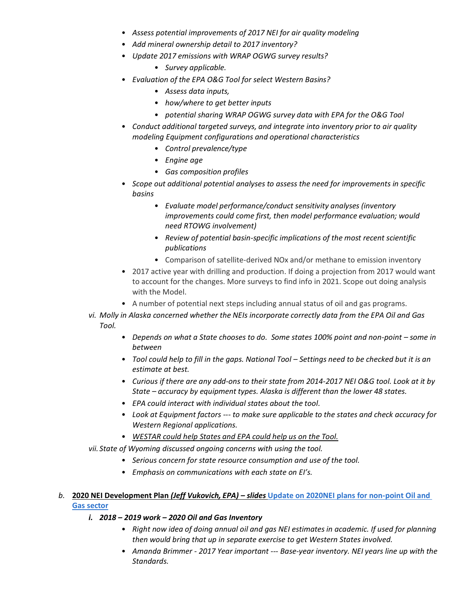- *Assess potential improvements of 2017 NEI for air quality modeling*
- *Add mineral ownership detail to 2017 inventory?*
- *Update 2017 emissions with WRAP OGWG survey results?*
	- *Survey applicable.*
- *Evaluation of the EPA O&G Tool for select Western Basins?*
	- *Assess data inputs,*
	- *how/where to get better inputs*
	- *potential sharing WRAP OGWG survey data with EPA for the O&G Tool*
- *Conduct additional targeted surveys, and integrate into inventory prior to air quality modeling Equipment configurations and operational characteristics*
	- *Control prevalence/type*
	- *Engine age*
	- *Gas composition profiles*
- *Scope out additional potential analyses to assess the need for improvements in specific basins*
	- *Evaluate model performance/conduct sensitivity analyses (inventory improvements could come first, then model performance evaluation; would need RTOWG involvement)*
	- *Review of potential basin-specific implications of the most recent scientific publications*
	- Comparison of satellite-derived NOx and/or methane to emission inventory
- 2017 active year with drilling and production. If doing a projection from 2017 would want to account for the changes. More surveys to find info in 2021. Scope out doing analysis with the Model.
- A number of potential next steps including annual status of oil and gas programs.
- *vi. Molly in Alaska concerned whether the NEIs incorporate correctly data from the EPA Oil and Gas Tool.*
	- Depends on what a State chooses to do. Some states 100% point and non-point some in *between*
	- *Tool could help to fill in the gaps. National Tool Settings need to be checked but it is an estimate at best.*
	- *Curious if there are any add-ons to their state from 2014-2017 NEI O&G tool. Look at it by State – accuracy by equipment types. Alaska is different than the lower 48 states.*
	- *EPA could interact with individual states about the tool.*
	- *Look at Equipment factors --- to make sure applicable to the states and check accuracy for Western Regional applications.*
	- *WESTAR could help States and EPA could help us on the Tool.*

*vii. State of Wyoming discussed ongoing concerns with using the tool.* 

- *Serious concern for state resource consumption and use of the tool.*
- *Emphasis on communications with each state on EI's.*

### *b.* **2020 NEI Development Plan** *(Jeff Vukovich, EPA) – slides* **[Update on 2020NEI plans for non-point Oil and](https://www.wrapair2.org/pdf/NEI_update_WRAP_OGWG_21Mar30.pdf)  [Gas sector](https://www.wrapair2.org/pdf/NEI_update_WRAP_OGWG_21Mar30.pdf)**

- *i. 2018 – 2019 work – 2020 Oil and Gas Inventory*
	- *Right now idea of doing annual oil and gas NEI estimates in academic. If used for planning then would bring that up in separate exercise to get Western States involved.*
	- *Amanda Brimmer - 2017 Year important --- Base-year inventory. NEI years line up with the Standards.*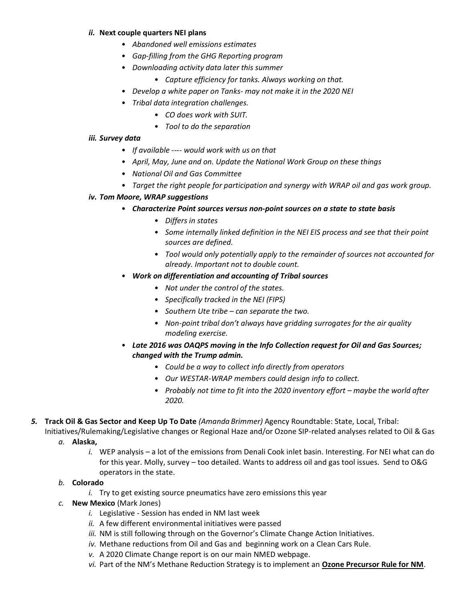#### *ii.* **Next couple quarters NEI plans**

- *Abandoned well emissions estimates*
- *Gap-filling from the GHG Reporting program*
- *Downloading activity data later this summer*
	- *Capture efficiency for tanks. Always working on that.*
- *Develop a white paper on Tanks- may not make it in the 2020 NEI*
- *Tribal data integration challenges.*
	- *CO does work with SUIT.*
	- *Tool to do the separation*

#### *iii. Survey data*

- *If available ---- would work with us on that*
- *April, May, June and on. Update the National Work Group on these things*
- *National Oil and Gas Committee*
- *Target the right people for participation and synergy with WRAP oil and gas work group.*

### *iv. Tom Moore, WRAP suggestions*

- *Characterize Point sources versus non-point sources on a state to state basis*
	- *Differs in states*
	- *Some internally linked definition in the NEI EIS process and see that their point sources are defined.*
	- *Tool would only potentially apply to the remainder of sources not accounted for already. Important not to double count.*
- *Work on differentiation and accounting of Tribal sources*
	- *Not under the control of the states.*
	- *Specifically tracked in the NEI (FIPS)*
	- *Southern Ute tribe – can separate the two.*
	- *Non-point tribal don't always have gridding surrogates for the air quality modeling exercise.*
- *Late 2016 was OAQPS moving in the Info Collection request for Oil and Gas Sources; changed with the Trump admin.*
	- *Could be a way to collect info directly from operators*
	- *Our WESTAR-WRAP members could design info to collect.*
	- Probably not time to fit into the 2020 inventory effort maybe the world after *2020.*
- *5.* **Track Oil & Gas Sector and Keep Up To Date** *(Amanda Brimmer)* Agency Roundtable: State, Local, Tribal:

Initiatives/Rulemaking/Legislative changes or Regional Haze and/or Ozone SIP-related analyses related to Oil & Gas

#### *a.* **Alaska,**

*i.* WEP analysis – a lot of the emissions from Denali Cook inlet basin. Interesting. For NEI what can do for this year. Molly, survey – too detailed. Wants to address oil and gas tool issues. Send to O&G operators in the state.

# *b.* **Colorado**

- *i.* Try to get existing source pneumatics have zero emissions this year
- *c.* **New Mexico** (Mark Jones)
	- *i.* Legislative Session has ended in NM last week
	- *ii.* A few different environmental initiatives were passed
	- *iii.* NM is still following through on the Governor's Climate Change Action Initiatives.
	- *iv.* Methane reductions from Oil and Gas and beginning work on a Clean Cars Rule.
	- *v.* A 2020 Climate Change report is on our main NMED webpage.
	- *vi.* Part of the NM's Methane Reduction Strategy is to implement an **Ozone Precursor Rule for NM**.